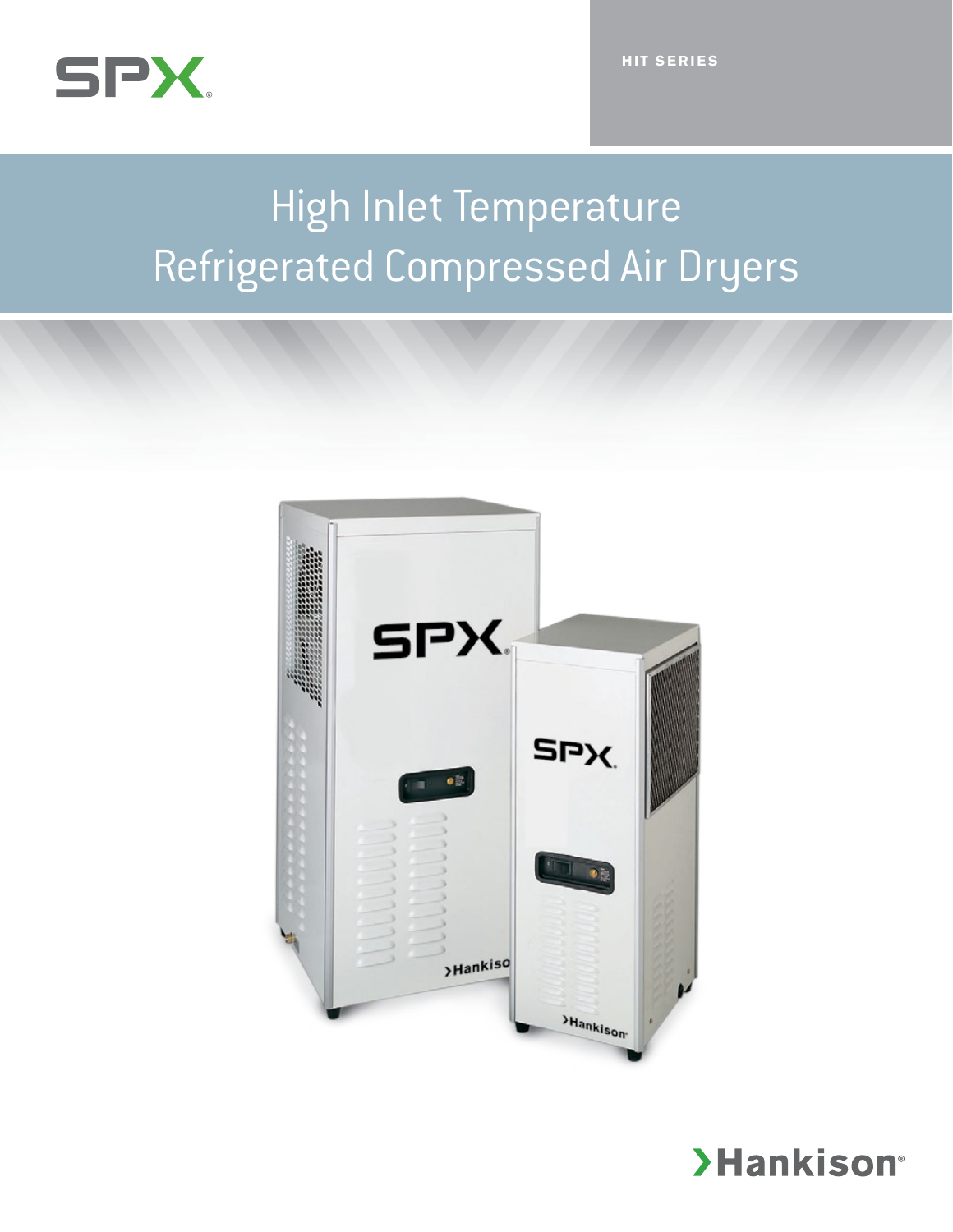

# High Inlet Temperature Refrigerated Compressed Air Dryers



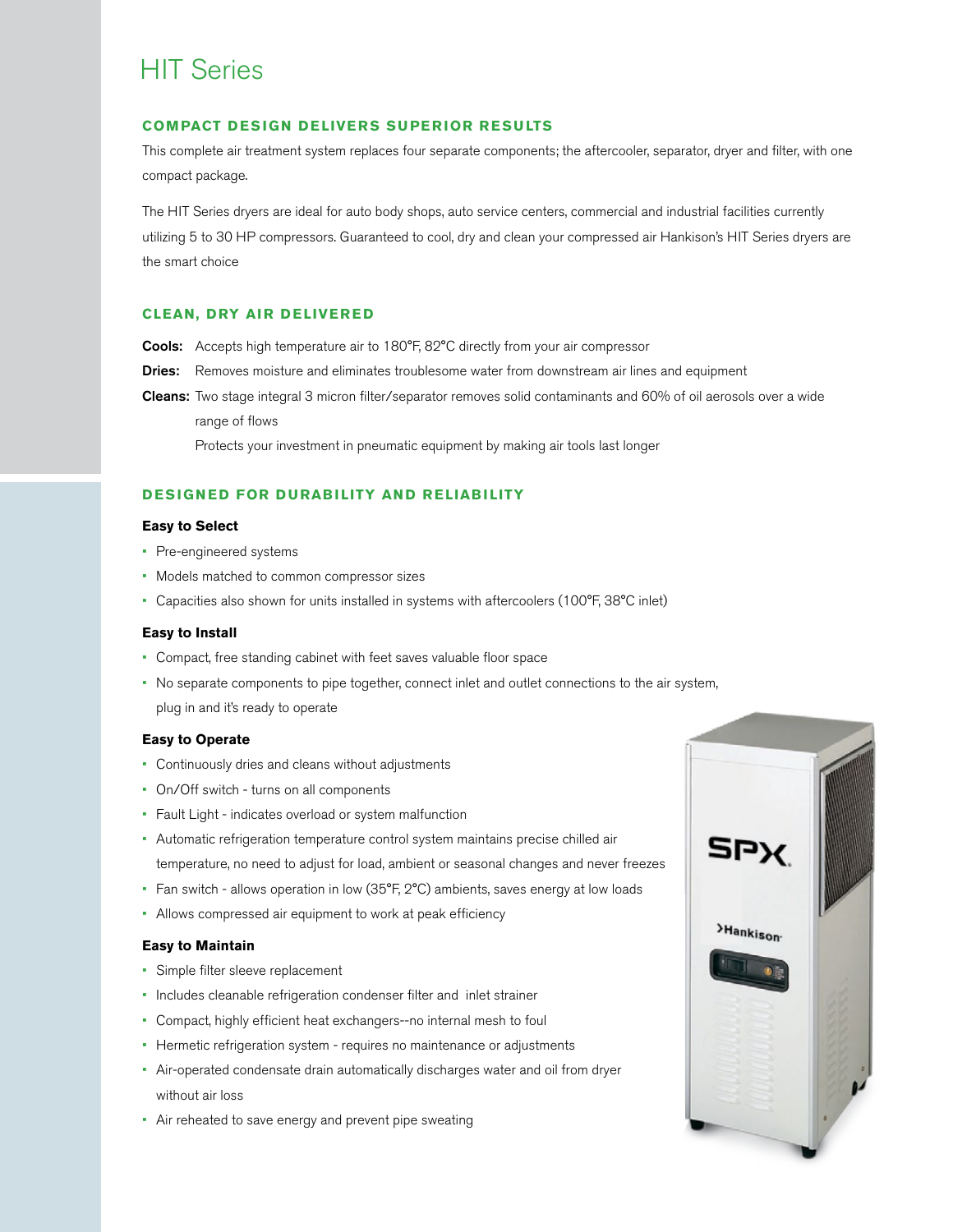# HIT Series

#### **COMPACT DESIGN DELIVERS SUPERIOR RESULTS**

This complete air treatment system replaces four separate components; the aftercooler, separator, dryer and filter, with one compact package.

The HIT Series dryers are ideal for auto body shops, auto service centers, commercial and industrial facilities currently utilizing 5 to 30 HP compressors. Guaranteed to cool, dry and clean your compressed air Hankison's HIT Series dryers are the smart choice

#### **CLEAN, DRY AIR DELIVERED**

- Cools: Accepts high temperature air to 180°F, 82°C directly from your air compressor
- Dries: Removes moisture and eliminates troublesome water from downstream air lines and equipment
- Cleans: Two stage integral 3 micron filter/separator removes solid contaminants and 60% of oil aerosols over a wide range of flows

Protects your investment in pneumatic equipment by making air tools last longer

### **DESIGNED FOR DURABILITY AND RELIABILITY**

#### **Easy to Select**

- Pre-engineered systems
- • Models matched to common compressor sizes
- Capacities also shown for units installed in systems with aftercoolers (100°F, 38°C inlet)

#### **Easy to Install**

- • Compact, free standing cabinet with feet saves valuable floor space
- • No separate components to pipe together, connect inlet and outlet connections to the air system, plug in and it's ready to operate

#### **Easy to Operate**

- • Continuously dries and cleans without adjustments
- • On/Off switch turns on all components
- • Fault Light indicates overload or system malfunction
- • Automatic refrigeration temperature control system maintains precise chilled air temperature, no need to adjust for load, ambient or seasonal changes and never freezes
- Fan switch allows operation in low (35°F, 2°C) ambients, saves energy at low loads
- • Allows compressed air equipment to work at peak efficiency

#### **Easy to Maintain**

- • Simple filter sleeve replacement
- • Includes cleanable refrigeration condenser filter and inlet strainer
- • Compact, highly efficient heat exchangers--no internal mesh to foul
- Hermetic refrigeration system requires no maintenance or adjustments
- Air-operated condensate drain automatically discharges water and oil from dryer without air loss
- Air reheated to save energy and prevent pipe sweating

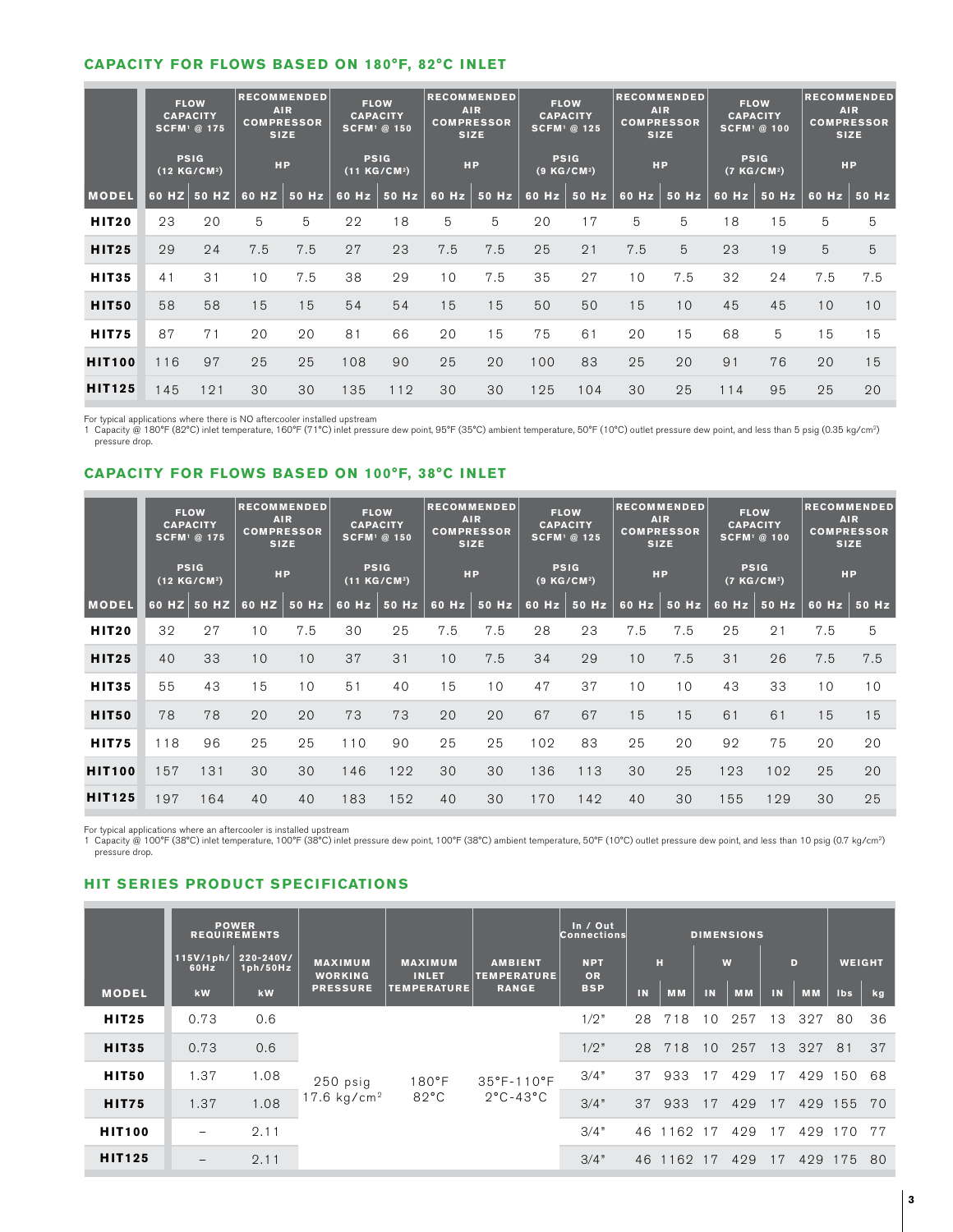## **CAPACITY FOR FLOWS BASED ON 180°F, 82°C INLET**

|               | <b>FLOW</b><br><b>CAPACITY</b><br><b>SCFM</b> <sup>1</sup> @ 175<br><b>PSIG</b><br>(12 KG/CM <sup>2</sup> ) |                 | <b>RECOMMENDED</b><br><b>AIR</b><br><b>COMPRESSOR</b><br><b>SIZE</b> |                     | <b>FLOW</b><br><b>CAPACITY</b><br><b>SCFM</b> <sup>1</sup> @ 150 |       | <b>RECOMMENDED</b><br><b>AIR</b><br><b>COMPRESSOR</b><br><b>SIZE</b> |       | <b>FLOW</b><br><b>CAPACITY</b><br><b>SCFM</b> <sup>1</sup> @ 125 |                     | <b>RECOMMENDED</b><br><b>AIR</b><br><b>COMPRESSOR</b><br><b>SIZE</b> |       | <b>FLOW</b><br><b>CAPACITY</b><br><b>SCFM</b> <sup>1</sup> @ 100 |                     | <b>RECOMMENDED</b><br><b>AIR</b><br><b>COMPRESSOR</b><br><b>SIZE</b> |                     |
|---------------|-------------------------------------------------------------------------------------------------------------|-----------------|----------------------------------------------------------------------|---------------------|------------------------------------------------------------------|-------|----------------------------------------------------------------------|-------|------------------------------------------------------------------|---------------------|----------------------------------------------------------------------|-------|------------------------------------------------------------------|---------------------|----------------------------------------------------------------------|---------------------|
|               |                                                                                                             |                 | <b>HP</b>                                                            |                     | <b>PSIG</b><br>(11 KG/CM <sup>2</sup> )                          |       | <b>HP</b>                                                            |       | <b>PSIG</b><br>$(9$ KG/CM <sup>2</sup> )                         |                     | <b>HP</b>                                                            |       | <b>PSIG</b><br>(7KG/CM <sup>2</sup> )                            |                     | <b>HP</b>                                                            |                     |
| <b>MODEL</b>  |                                                                                                             | $60$ HZ $50$ HZ |                                                                      | 60 HZ $\vert$ 50 Hz | 60 Hz                                                            | 50 Hz | $60$ Hz                                                              | 50 Hz |                                                                  | 60 Hz $\vert$ 50 Hz | 60 Hz                                                                | 50 Hz |                                                                  | 60 Hz $\vert$ 50 Hz |                                                                      | 60 Hz $\vert$ 50 Hz |
| <b>HIT20</b>  | 23                                                                                                          | 20              | 5                                                                    | 5                   | 22                                                               | 18    | 5                                                                    | 5     | 20                                                               | 17                  | 5                                                                    | 5     | 18                                                               | 15                  | 5                                                                    | 5                   |
| <b>HIT25</b>  | 29                                                                                                          | 24              | 7.5                                                                  | 7.5                 | 27                                                               | 23    | 7.5                                                                  | 7.5   | 25                                                               | 21                  | 7.5                                                                  | 5     | 23                                                               | 19                  | 5                                                                    | 5                   |
| <b>HIT35</b>  | 41                                                                                                          | 31              | 10                                                                   | 7.5                 | 38                                                               | 29    | 10                                                                   | 7.5   | 35                                                               | 27                  | 10                                                                   | 7.5   | 32                                                               | 24                  | 7.5                                                                  | 7.5                 |
| <b>HIT50</b>  | 58                                                                                                          | 58              | 15                                                                   | 15                  | 54                                                               | 54    | 15                                                                   | 15    | 50                                                               | 50                  | 15                                                                   | 10    | 45                                                               | 45                  | 10                                                                   | 10                  |
| <b>HIT75</b>  | 87                                                                                                          | 71              | 20                                                                   | 20                  | 81                                                               | 66    | 20                                                                   | 15    | 75                                                               | 61                  | 20                                                                   | 15    | 68                                                               | 5                   | 15                                                                   | 15                  |
| <b>HIT100</b> | 116                                                                                                         | 97              | 25                                                                   | 25                  | 108                                                              | 90    | 25                                                                   | 20    | 100                                                              | 83                  | 25                                                                   | 20    | 91                                                               | 76                  | 20                                                                   | 15                  |
| <b>HIT125</b> | 145                                                                                                         | 121             | 30                                                                   | 30                  | 135                                                              | 112   | 30                                                                   | 30    | 125                                                              | 104                 | 30                                                                   | 25    | 114                                                              | 95                  | 25                                                                   | 20                  |

For typical applications where there is NO aftercooler installed upstream

1 Capacity @ 180°F (82°C) inlet temperature, 160°F (71°C) inlet pressure dew point, 95°F (35°C) ambient temperature, 50°F (10°C) outlet pressure dew point, and less than 5 psig (0.35 kg/cm2) pressure drop.

# **CAPACITY FOR FLOWS BASED ON 100°F, 38°C INLET**

|               | <b>FLOW</b><br><b>CAPACITY</b><br><b>SCFM</b> <sup>1</sup> @ 175 |                 | <b>RECOMMENDED</b><br><b>AIR</b><br><b>COMPRESSOR</b><br><b>SIZE</b> |       | <b>FLOW</b><br><b>CAPACITY</b><br><b>SCFM</b> <sup>1</sup> @ 150 |                     | <b>RECOMMENDED</b><br><b>AIR</b><br><b>COMPRESSOR</b><br><b>SIZE</b> |       | <b>FLOW</b><br><b>CAPACITY</b><br><b>SCFM</b> <sup>1</sup> @ 125 |                     | <b>RECOMMENDED</b><br><b>AIR</b><br><b>COMPRESSOR</b><br><b>SIZE</b> |       | <b>FLOW</b><br><b>CAPACITY</b><br><b>SCFM</b> <sup>1</sup> @ 100 |             | <b>RECOMMENDED</b><br><b>AIR</b><br><b>COMPRESSOR</b><br><b>SIZE</b> |       |
|---------------|------------------------------------------------------------------|-----------------|----------------------------------------------------------------------|-------|------------------------------------------------------------------|---------------------|----------------------------------------------------------------------|-------|------------------------------------------------------------------|---------------------|----------------------------------------------------------------------|-------|------------------------------------------------------------------|-------------|----------------------------------------------------------------------|-------|
|               | <b>PSIG</b><br>$(12$ KG/CM <sup>2</sup> )                        |                 | <b>HP</b>                                                            |       | <b>PSIG</b><br>(11 KG/CM <sup>2</sup> )                          |                     | <b>HP</b>                                                            |       | <b>PSIG</b><br>$(9$ KG/CM <sup>2</sup> )                         |                     | <b>HP</b>                                                            |       | <b>PSIG</b><br>(7 KG/CM <sup>2</sup> )                           |             | <b>HP</b>                                                            |       |
| <b>MODEL</b>  |                                                                  | $60$ HZ $50$ HZ | 60 HZ                                                                | 50 Hz |                                                                  | 60 Hz $\vert$ 50 Hz | 60 Hz $\vert$                                                        | 50 Hz |                                                                  | 60 Hz $\vert$ 50 Hz | 60 Hz                                                                | 50 Hz |                                                                  | 60 Hz 50 Hz | 60 Hz                                                                | 50 Hz |
| <b>HIT20</b>  | 32                                                               | 27              | 10                                                                   | 7.5   | 30                                                               | 25                  | 7.5                                                                  | 7.5   | 28                                                               | 23                  | 7.5                                                                  | 7.5   | 25                                                               | 21          | 7.5                                                                  | 5     |
| <b>HIT25</b>  | 40                                                               | 33              | 10                                                                   | 10    | 37                                                               | 31                  | 10                                                                   | 7.5   | 34                                                               | 29                  | 10                                                                   | 7.5   | 31                                                               | 26          | 7.5                                                                  | 7.5   |
| <b>HIT35</b>  | 55                                                               | 43              | 15                                                                   | 10    | 51                                                               | 40                  | 15                                                                   | 10    | 47                                                               | 37                  | 10                                                                   | 10    | 43                                                               | 33          | 10                                                                   | 10    |
| HIT50         | 78                                                               | 78              | 20                                                                   | 20    | 73                                                               | 73                  | 20                                                                   | 20    | 67                                                               | 67                  | 15                                                                   | 15    | 61                                                               | 61          | 15                                                                   | 15    |
| <b>HIT75</b>  | 118                                                              | 96              | 25                                                                   | 25    | 110                                                              | 90                  | 25                                                                   | 25    | 102                                                              | 83                  | 25                                                                   | 20    | 92                                                               | 75          | 20                                                                   | 20    |
| <b>HIT100</b> | 157                                                              | 131             | 30                                                                   | 30    | 146                                                              | 122                 | 30                                                                   | 30    | 136                                                              | 113                 | 30                                                                   | 25    | 123                                                              | 102         | 25                                                                   | 20    |
| <b>HIT125</b> | 197                                                              | 164             | 40                                                                   | 40    | 183                                                              | 152                 | 40                                                                   | 30    | 170                                                              | 142                 | 40                                                                   | 30    | 155                                                              | 129         | 30                                                                   | 25    |
|               |                                                                  |                 |                                                                      |       |                                                                  |                     |                                                                      |       |                                                                  |                     |                                                                      |       |                                                                  |             |                                                                      |       |

For typical applications where an aftercooler is installed upstream<br>1 Capacity @ 100°F (38°C) inlet temperature, 100°F (38°C) inlet pressure dew point, 100°F (38°C) ambient temperature, 50°F (10°C) outlet pressure dew poin pressure drop.

# **HIT SERIES PRODUCT SPECIFICATIONS**

|               |                   | <b>POWER</b><br><b>REQUIREMENTS</b> |                                  |                                                      |                                                                  | In / Out<br><b>Connections</b> | <b>DIMENSIONS</b> |           |    |           |    |           |               |    |
|---------------|-------------------|-------------------------------------|----------------------------------|------------------------------------------------------|------------------------------------------------------------------|--------------------------------|-------------------|-----------|----|-----------|----|-----------|---------------|----|
|               | 115V/1ph/<br>60Hz | 220-240V/<br>1ph/50Hz               | <b>MAXIMUM</b><br><b>WORKING</b> | <b>MAXIMUM</b><br><b>INLET</b><br><b>TEMPERATURE</b> | <b>AMBIENT</b><br><b>TEMPERATURE</b><br><b>RANGE</b>             | <b>NPT</b><br>OR               | н                 |           | W  |           | D  |           | <b>WEIGHT</b> |    |
| <b>MODEL</b>  | kW                | kW                                  | <b>PRESSURE</b>                  |                                                      |                                                                  | <b>BSP</b>                     | IN                | <b>MM</b> | IN | <b>MM</b> | IN | <b>MM</b> | Ibs           | kg |
| <b>HIT25</b>  | 0.73              | 0.6                                 | 250 psig<br>17.6 $kg/cm2$        | $180^{\circ}$ F<br>$82^{\circ}$ C                    | $35^{\circ}$ F-110 $^{\circ}$ F<br>$2^{\circ}$ C-43 $^{\circ}$ C | 1/2"                           | 28                | 71<br>8   | 10 | 257       | 3  | 327       | 80            | 36 |
| <b>HIT35</b>  | 0.73              | 0.6                                 |                                  |                                                      |                                                                  | 1/2"                           | 28                | 718       | 10 | 257       | 13 | 327       | 81            | 37 |
| HIT50         | 1.37              | 1.08                                |                                  |                                                      |                                                                  | 3/4"                           | 37                | 933       | 17 | 429       | 17 |           | 429 150       | 68 |
| <b>HIT75</b>  | 1.37              | 1.08                                |                                  |                                                      |                                                                  | 3/4"                           | 37                | 933       | 17 | 429       | 17 |           | 429 155       | 70 |
| <b>HIT100</b> |                   | 2.11                                |                                  |                                                      |                                                                  | 3/4"                           | 46                | 1162 17   |    | 429       | 17 | 429       | 170           | 77 |
| <b>HIT125</b> | -                 | 2.11                                |                                  |                                                      |                                                                  | 3/4"                           | 46                | 1162      | 17 | 429       | 17 | 429       | 175           | 80 |